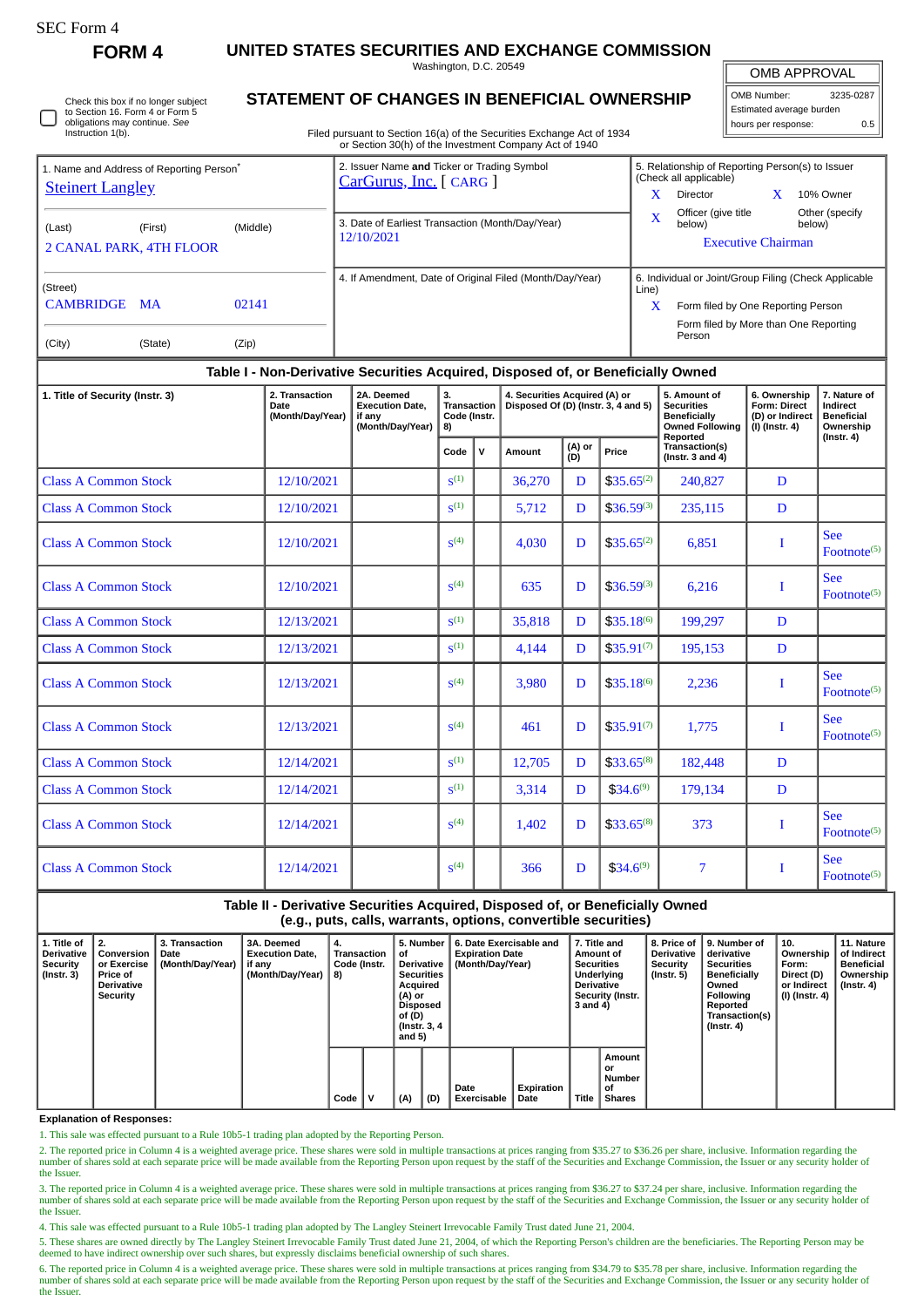| SEC Form- |
|-----------|
|-----------|

**FORM 4 UNITED STATES SECURITIES AND EXCHANGE COMMISSION**

Washington, D.C. 20549

OMB APPROVAL

| OMB Number:              | 3235-0287 |  |  |  |  |  |  |  |  |
|--------------------------|-----------|--|--|--|--|--|--|--|--|
| Estimated average burden |           |  |  |  |  |  |  |  |  |
| hours per response:      | 0.5       |  |  |  |  |  |  |  |  |

Check this box if no longer subject to Section 16. Form 4 or Form 5 obligations may continue. *See* Instruction 1(b).

## **STATEMENT OF CHANGES IN BENEFICIAL OWNERSHIP**

Filed pursuant to Section 16(a) of the Securities Exchange Act of 1934 or Section 30(h) of the Investment Company Act of 1940

| 2. Transaction<br>1. Title of Security (Instr. 3)<br>Date<br>(Month/Day/Year)    |                                                      |          | 2A. Deemed<br><b>Execution Date.</b><br>if any<br>(Month/Day/Year)     | 3.<br><b>Transaction</b><br>Code (Instr.<br>8) | 4. Securities Acquired (A) or<br>Disposed Of (D) (Instr. 3, 4 and 5) |                                                       | 5. Amount of<br><b>Securities</b><br><b>Beneficially</b><br><b>Owned Following</b><br>Reported | 6. Ownership<br><b>Form: Direct</b><br>(D) or Indirect<br>(I) (Instr. 4) | 7. Nature of<br>Indirect<br>Beneficial<br>Ownership<br>(Instr. 4) |  |  |
|----------------------------------------------------------------------------------|------------------------------------------------------|----------|------------------------------------------------------------------------|------------------------------------------------|----------------------------------------------------------------------|-------------------------------------------------------|------------------------------------------------------------------------------------------------|--------------------------------------------------------------------------|-------------------------------------------------------------------|--|--|
| Table I - Non-Derivative Securities Acquired, Disposed of, or Beneficially Owned |                                                      |          |                                                                        |                                                |                                                                      |                                                       |                                                                                                |                                                                          |                                                                   |  |  |
| (City)                                                                           | (State)<br>(Zip)                                     |          |                                                                        |                                                |                                                                      |                                                       | Person                                                                                         |                                                                          |                                                                   |  |  |
| (Street)<br><b>CAMBRIDGE</b>                                                     | <b>MA</b>                                            | 02141    |                                                                        |                                                |                                                                      | Line)<br>x                                            | Form filed by One Reporting Person<br>Form filed by More than One Reporting                    |                                                                          |                                                                   |  |  |
|                                                                                  |                                                      |          |                                                                        |                                                | 4. If Amendment, Date of Original Filed (Month/Day/Year)             | 6. Individual or Joint/Group Filing (Check Applicable |                                                                                                |                                                                          |                                                                   |  |  |
| (Last)                                                                           | (First)<br><b>2 CANAL PARK, 4TH FLOOR</b>            | (Middle) | 3. Date of Earliest Transaction (Month/Day/Year)<br>12/10/2021         |                                                |                                                                      | $\mathbf{x}$                                          | Officer (give title<br>below)                                                                  | <b>Executive Chairman</b>                                                | Other (specify<br>below)                                          |  |  |
| <b>Steinert Langley</b>                                                          | 1. Name and Address of Reporting Person <sup>®</sup> |          | 2. Issuer Name and Ticker or Trading Symbol<br>CarGurus, Inc. [ CARG ] |                                                |                                                                      |                                                       | (Check all applicable)<br>x<br>Director                                                        | 5. Relationship of Reporting Person(s) to Issuer<br>10% Owner            |                                                                   |  |  |

|                             |            | (Month/Day/Year)   8) |                  |              |        |               |                 | Owned Following<br>Reported             | (I) (Instr. 4) | Ownership                             |  |
|-----------------------------|------------|-----------------------|------------------|--------------|--------|---------------|-----------------|-----------------------------------------|----------------|---------------------------------------|--|
|                             |            |                       | Code             | $\mathsf{v}$ | Amount | (A) or<br>(D) | Price           | Transaction(s)<br>(Instr. $3$ and $4$ ) |                | $($ Instr. 4 $)$                      |  |
| <b>Class A Common Stock</b> | 12/10/2021 |                       | $S^{(1)}$        |              | 36,270 | D             | $$35.65^{(2)}$$ | 240,827                                 | D              |                                       |  |
| <b>Class A Common Stock</b> | 12/10/2021 |                       | S <sup>(1)</sup> |              | 5,712  | D             | $$36.59^{(3)}$  | 235,115                                 | D              |                                       |  |
| <b>Class A Common Stock</b> | 12/10/2021 |                       | S <sup>(4)</sup> |              | 4,030  | D             | $$35.65^{(2)}$  | 6,851                                   |                | <b>See</b><br>Footnote <sup>(5)</sup> |  |
| <b>Class A Common Stock</b> | 12/10/2021 |                       | S <sup>(4)</sup> |              | 635    | D             | $$36.59^{(3)}$  | 6,216                                   |                | <b>See</b><br>$Fotnote(5)}$           |  |
| <b>Class A Common Stock</b> | 12/13/2021 |                       | S <sup>(1)</sup> |              | 35,818 | D             | $$35.18^{(6)}$  | 199,297                                 | D              |                                       |  |
| <b>Class A Common Stock</b> | 12/13/2021 |                       | S <sup>(1)</sup> |              | 4,144  | D             | $$35.91^{(7)}$  | 195,153                                 | D              |                                       |  |
| <b>Class A Common Stock</b> | 12/13/2021 |                       | S <sup>(4)</sup> |              | 3,980  | D             | $$35.18^{(6)}$  | 2,236                                   | T              | <b>See</b><br>$\text{Footnote}^{(5)}$ |  |
| <b>Class A Common Stock</b> | 12/13/2021 |                       | S <sup>(4)</sup> |              | 461    | D             | $$35.91^{(7)}$  | 1,775                                   |                | <b>See</b><br>Footnote <sup>(5)</sup> |  |
| <b>Class A Common Stock</b> | 12/14/2021 |                       | S <sup>(1)</sup> |              | 12,705 | D             | $$33.65^{(8)}$  | 182,448                                 | D              |                                       |  |
| <b>Class A Common Stock</b> | 12/14/2021 |                       | S <sup>(1)</sup> |              | 3,314  | D             | $$34.6^{(9)}$   | 179,134                                 | D              |                                       |  |
| <b>Class A Common Stock</b> | 12/14/2021 |                       | S <sup>(4)</sup> |              | 1,402  | D             | $$33.65^{(8)}$  | 373                                     |                | <b>See</b><br>Footnote $(5)$          |  |
| <b>Class A Common Stock</b> | 12/14/2021 |                       | S <sup>(4)</sup> |              | 366    | D             | $$34.6^{(9)}$   | 7                                       |                | <b>See</b><br>Footnote <sup>(5)</sup> |  |

## **Table II - Derivative Securities Acquired, Disposed of, or Beneficially Owned (e.g., puts, calls, warrants, options, convertible securities)**

| 1. Title of<br><b>Derivative</b><br>Security<br>$($ Instr. 3 $)$ | $^{\circ}$ 2.<br>Conversion<br>or Exercise<br>Price of<br><b>Derivative</b><br>Security | <b>3. Transaction</b><br>Date<br>(Month/Day/Year) | 3A. Deemed<br><b>Execution Date,</b><br>  if any<br>(Month/Day/Year) | 4.<br>Transaction<br>Code (Instr.<br>8) |  | 5. Number<br>οf<br>Derivative<br><b>Securities</b><br>Acquired<br>(A) or<br>Disposed<br>of (D)<br>(Instr. 3, 4)<br>and $5)$ |     | 6. Date Exercisable and<br><b>Expiration Date</b><br>(Month/Day/Year) |                    | 7. Title and<br>Amount of<br><b>Securities</b><br>Underlying<br><b>Derivative</b><br>Security (Instr.<br>3 and 4) |                                               | <b>Derivative</b><br>Security<br>(Instr. 5) | 8. Price of 19. Number of<br>derivative<br><b>Securities</b><br><b>Beneficially</b><br>Owned<br>Following<br>Reported<br>Transaction(s)<br>$($ Instr. 4 $)$ | 10.<br>Ownership<br>Form:<br>Direct (D)<br>or Indirect<br>  (I) (Instr. 4) | 11. Nature<br>of Indirect<br><b>Beneficial</b><br>Ownership<br>$($ Instr. 4 $)$ |
|------------------------------------------------------------------|-----------------------------------------------------------------------------------------|---------------------------------------------------|----------------------------------------------------------------------|-----------------------------------------|--|-----------------------------------------------------------------------------------------------------------------------------|-----|-----------------------------------------------------------------------|--------------------|-------------------------------------------------------------------------------------------------------------------|-----------------------------------------------|---------------------------------------------|-------------------------------------------------------------------------------------------------------------------------------------------------------------|----------------------------------------------------------------------------|---------------------------------------------------------------------------------|
|                                                                  |                                                                                         |                                                   |                                                                      | Code                                    |  | (A)                                                                                                                         | (D) | Date<br><b>Exercisable</b>                                            | Expiration<br>Date | <b>Title</b>                                                                                                      | Amount<br>or<br>Number<br>οf<br><b>Shares</b> |                                             |                                                                                                                                                             |                                                                            |                                                                                 |

## **Explanation of Responses:**

1. This sale was effected pursuant to a Rule 10b5-1 trading plan adopted by the Reporting Person.

2. The reported price in Column 4 is a weighted average price. These shares were sold in multiple transactions at prices ranging from \$35.27 to \$36.26 per share, inclusive. Information regarding the number of shares sold at each separate price will be made available from the Reporting Person upon request by the staff of the Securities and Exchange Commission, the Issuer or any security holder of the Issuer.

3. The reported price in Column 4 is a weighted average price. These shares were sold in multiple transactions at prices ranging from \$36.27 to \$37.24 per share, inclusive. Information regarding the number of shares sold at each separate price will be made available from the Reporting Person upon request by the staff of the Securities and Exchange Commission, the Issuer or any security holder of the Issuer

4. This sale was effected pursuant to a Rule 10b5-1 trading plan adopted by The Langley Steinert Irrevocable Family Trust dated June 21, 2004.

5. These shares are owned directly by The Langley Steinert Irrevocable Family Trust dated June 21, 2004, of which the Reporting Person's children are the beneficiaries. The Reporting Person may be deemed to have indirect ownership over such shares, but expressly disclaims beneficial ownership of such shares.

6. The reported price in Column 4 is a weighted average price. These shares were sold in multiple transactions at prices ranging from \$34.79 to \$35.78 per share, inclusive. Information regarding the<br>number of shares sold a the Issuer.